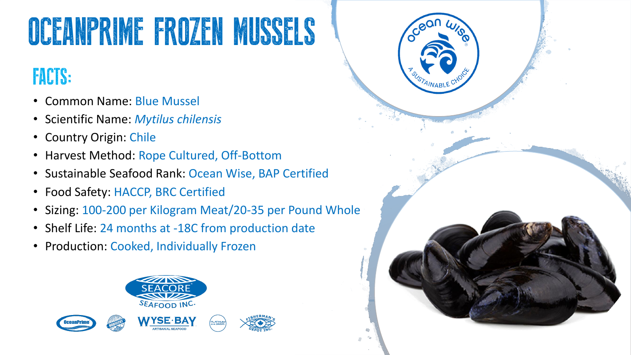# OCEANPRIME FROZEN MUSSELS

## FACTS:

- Common Name: Blue Mussel
- Scientific Name: *Mytilus chilensis*
- Country Origin: Chile
- Harvest Method: Rope Cultured, Off-Bottom
- Sustainable Seafood Rank: Ocean Wise, BAP Certified
- Food Safety: HACCP, BRC Certified
- Sizing: 100-200 per Kilogram Meat/20-35 per Pound Whole
- Shelf Life: 24 months at -18C from production date
- Production: Cooked, Individually Frozen



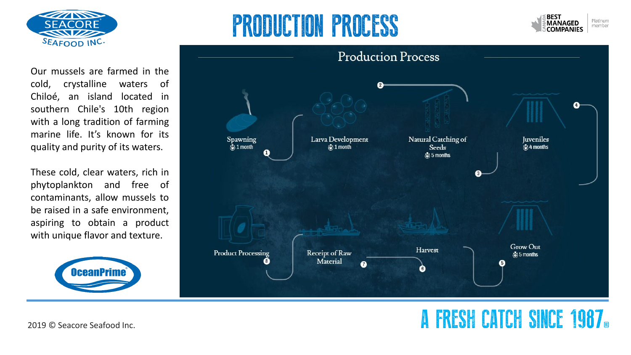

# PRODUCTION PROCESS



Our mussels are farmed in the cold, crystalline waters of Chiloé, an island located in southern Chile's 10th region with a long tradition of farming marine life. It's known for its quality and purity of its waters.

These cold, clear waters, rich in phytoplankton and free of contaminants, allow mussels to be raised in a safe environment, aspiring to obtain a product with unique flavor and texture.





### 2019 © Seacore Seafood Inc. **A FRESH CATCH SINCE 1987**®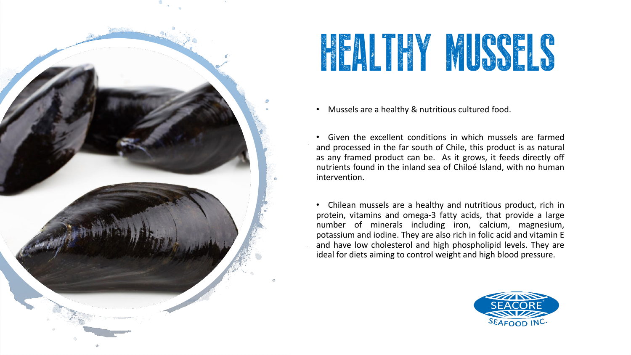

# HEALTHY MUSSELS

• Mussels are a healthy & nutritious cultured food.

• Given the excellent conditions in which mussels are farmed and processed in the far south of Chile, this product is as natural as any framed product can be. As it grows, it feeds directly off nutrients found in the inland sea of Chiloé Island, with no human intervention.

• Chilean mussels are a healthy and nutritious product, rich in protein, vitamins and omega-3 fatty acids, that provide a large number of minerals including iron, calcium, magnesium, potassium and iodine. They are also rich in folic acid and vitamin E and have low cholesterol and high phospholipid levels. They are ideal for diets aiming to control weight and high blood pressure.